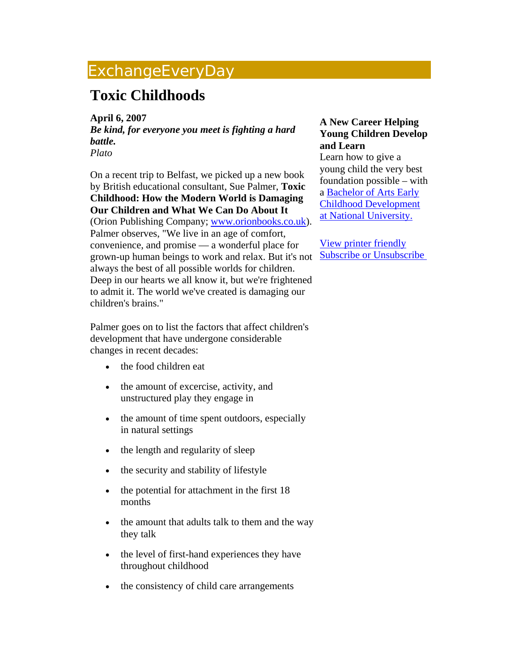## ExchangeEveryDay

## **Toxic Childhoods**

**April 6, 2007** 

*Be kind, for everyone you meet is fighting a hard battle. Plato*

On a recent trip to Belfast, we picked up a new book by British educational consultant, Sue Palmer, **Toxic Childhood: How the Modern World is Damaging Our Children and What We Can Do About It** (Orion Publishing Company; [www.orionbooks.co.uk](http://mail.ccie.com/go/eed/1589)). Palmer observes, "We live in an age of comfort, convenience, and promise — a wonderful place for grown-up human beings to work and relax. But it's not **Subscribe or Unsubscribe** always the best of all possible worlds for children. Deep in our hearts we all know it, but we're frightened to admit it. The world we've created is damaging our children's brains."

Palmer goes on to list the factors that affect children's development that have undergone considerable changes in recent decades:

- the food children eat
- the amount of excercise, activity, and unstructured play they engage in
- the amount of time spent outdoors, especially in natural settings
- the length and regularity of sleep
- the security and stability of lifestyle
- the potential for attachment in the first 18 months
- the amount that adults talk to them and the way they talk
- the level of first-hand experiences they have throughout childhood
- the consistency of child care arrangements

## **A New Career Helping Young Children Develop and Learn**

Learn how to give a young child the very best foundation possible – with a [Bachelor of Arts Early](http://mail.ccie.com/go/eed/1591)  [Childhood Development](http://mail.ccie.com/go/eed/1591)  [at National University.](http://mail.ccie.com/go/eed/1591) 

[View printer friendly](http://www.childcareexchange.com/eed/news_print.php?news_id=1698)